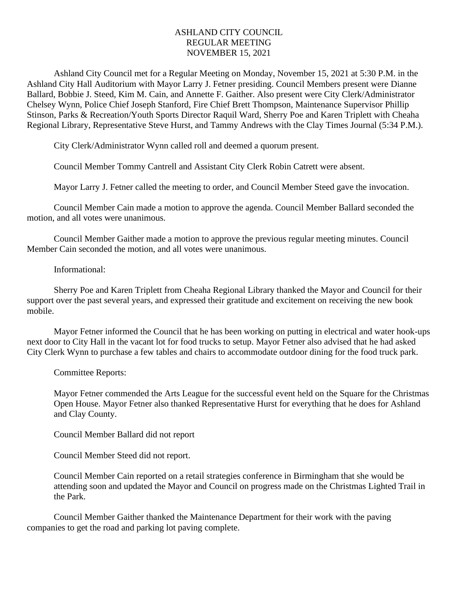## ASHLAND CITY COUNCIL REGULAR MEETING NOVEMBER 15, 2021

Ashland City Council met for a Regular Meeting on Monday, November 15, 2021 at 5:30 P.M. in the Ashland City Hall Auditorium with Mayor Larry J. Fetner presiding. Council Members present were Dianne Ballard, Bobbie J. Steed, Kim M. Cain, and Annette F. Gaither. Also present were City Clerk/Administrator Chelsey Wynn, Police Chief Joseph Stanford, Fire Chief Brett Thompson, Maintenance Supervisor Phillip Stinson, Parks & Recreation/Youth Sports Director Raquil Ward, Sherry Poe and Karen Triplett with Cheaha Regional Library, Representative Steve Hurst, and Tammy Andrews with the Clay Times Journal (5:34 P.M.).

City Clerk/Administrator Wynn called roll and deemed a quorum present.

Council Member Tommy Cantrell and Assistant City Clerk Robin Catrett were absent.

Mayor Larry J. Fetner called the meeting to order, and Council Member Steed gave the invocation.

Council Member Cain made a motion to approve the agenda. Council Member Ballard seconded the motion, and all votes were unanimous.

Council Member Gaither made a motion to approve the previous regular meeting minutes. Council Member Cain seconded the motion, and all votes were unanimous.

## Informational:

Sherry Poe and Karen Triplett from Cheaha Regional Library thanked the Mayor and Council for their support over the past several years, and expressed their gratitude and excitement on receiving the new book mobile.

Mayor Fetner informed the Council that he has been working on putting in electrical and water hook-ups next door to City Hall in the vacant lot for food trucks to setup. Mayor Fetner also advised that he had asked City Clerk Wynn to purchase a few tables and chairs to accommodate outdoor dining for the food truck park.

Committee Reports:

Mayor Fetner commended the Arts League for the successful event held on the Square for the Christmas Open House. Mayor Fetner also thanked Representative Hurst for everything that he does for Ashland and Clay County.

Council Member Ballard did not report

Council Member Steed did not report.

Council Member Cain reported on a retail strategies conference in Birmingham that she would be attending soon and updated the Mayor and Council on progress made on the Christmas Lighted Trail in the Park.

Council Member Gaither thanked the Maintenance Department for their work with the paving companies to get the road and parking lot paving complete.